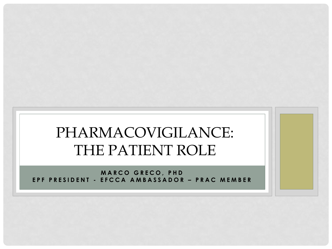## PHARMACOVIGILANCE: THE PATIENT ROLE

**MARCO GRECO, PHD EPF PRESIDENT - EFCCA AMBASSADOR – PRAC MEMBER**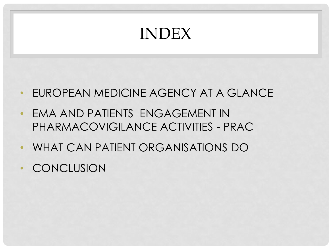# INDEX

- EUROPEAN MEDICINE AGENCY AT A GLANCE
- EMA AND PATIENTS ENGAGEMENT IN PHARMACOVIGILANCE ACTIVITIES - PRAC
- WHAT CAN PATIENT ORGANISATIONS DO
- **CONCLUSION**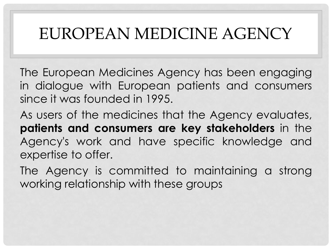# EUROPEAN MEDICINE AGENCY

The European Medicines Agency has been engaging in dialogue with European patients and consumers since it was founded in 1995.

As users of the medicines that the Agency evaluates, **patients and consumers are key stakeholders** in the Agency's work and have specific knowledge and expertise to offer.

The Agency is committed to maintaining a strong working relationship with these groups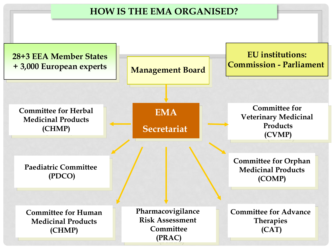#### **HOW IS THE EMA ORGANISED?**

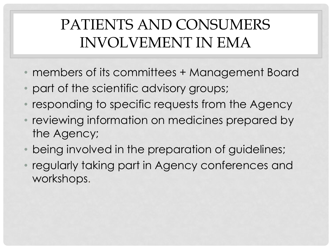## PATIENTS AND CONSUMERS INVOLVEMENT IN EMA

- members of its committees + Management Board
- part of the scientific advisory groups;
- responding to specific requests from the Agency
- reviewing information on medicines prepared by the Agency;
- being involved in the preparation of guidelines;
- regularly taking part in Agency conferences and workshops.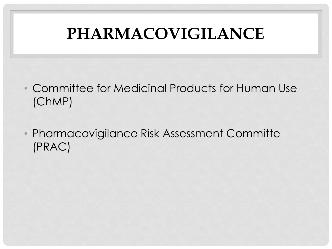# **PHARMACOVIGILANCE**

- Committee for Medicinal Products for Human Use (ChMP)
- Pharmacovigilance Risk Assessment Committe (PRAC)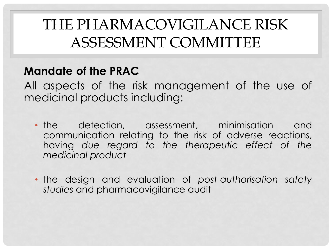## THE PHARMACOVIGILANCE RISK ASSESSMENT COMMITTEE

### **Mandate of the PRAC**

All aspects of the risk management of the use of medicinal products including:

- the detection, assessment, minimisation and communication relating to the risk of adverse reactions, having *due regard to the therapeutic effect of the medicinal product*
- the design and evaluation of *post-authorisation safety studies* and pharmacovigilance audit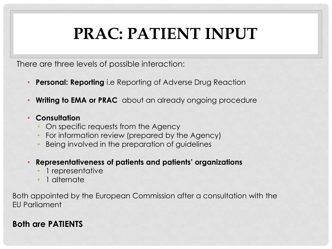# **PRAC: PATIENT INPUT**

There are three levels of possible interaction:

- **Personal: Reporting** i.e Reporting of Adverse Drug Reaction
- **Writing to EMA or PRAC** about an already ongoing procedure

#### • **Consultation**

- On specific requests from the Agency
- For information review (prepared by the Agency)
- Being involved in the preparation of guidelines
- **Representativeness of patients and patients' organizations**
	- 1 representative
	- 1 alternate

Both appointed by the European Commission after a consultation with the EU Parliament

#### **Both are PATIENTS**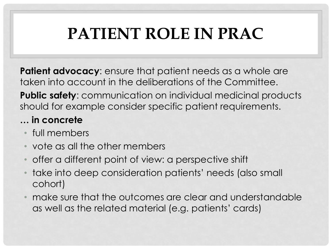# **PATIENT ROLE IN PRAC**

**Patient advocacy:** ensure that patient needs as a whole are taken into account in the deliberations of the Committee. **Public safety**: communication on individual medicinal products

should for example consider specific patient requirements.

### **… in concrete**

- full members
- vote as all the other members
- offer a different point of view: a perspective shift
- take into deep consideration patients' needs (also small cohort)
- make sure that the outcomes are clear and understandable as well as the related material (e.g. patients' cards)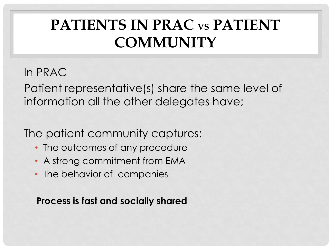## **PATIENTS IN PRAC VS PATIENT COMMUNITY**

### In PRAC

Patient representative(s) share the same level of information all the other delegates have;

The patient community captures:

- The outcomes of any procedure
- A strong commitment from EMA
- The behavior of companies

**Process is fast and socially shared**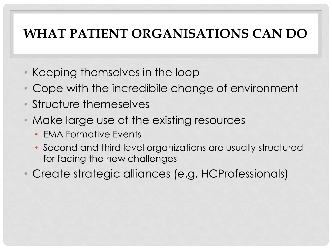### **WHAT PATIENT ORGANISATIONS CAN DO**

- Keeping themselves in the loop
- Cope with the incredibile change of environment
- Structure themeselves
- Make large use of the existing resources
	- EMA Formative Events
	- Second and third level organizations are usually structured for facing the new challenges
- Create strategic alliances (e.g. HCProfessionals)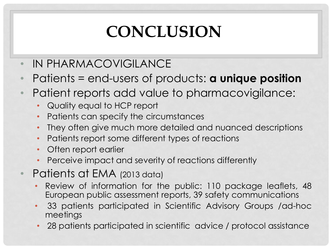# **CONCLUSION**

- IN PHARMACOVIGILANCE
- Patients = end-users of products: **a unique position**
- Patient reports add value to pharmacovigilance:
	- Quality equal to HCP report
	- Patients can specify the circumstances
	- They often give much more detailed and nuanced descriptions
	- Patients report some different types of reactions
	- Often report earlier
	- Perceive impact and severity of reactions differently
- Patients at EMA (2013 data)
	- Review of information for the public: 110 package leaflets, 48 European public assessment reports, 39 safety communications
	- 33 patients participated in Scientific Advisory Groups /ad-hoc meetings
	- 28 patients participated in scientific advice / protocol assistance